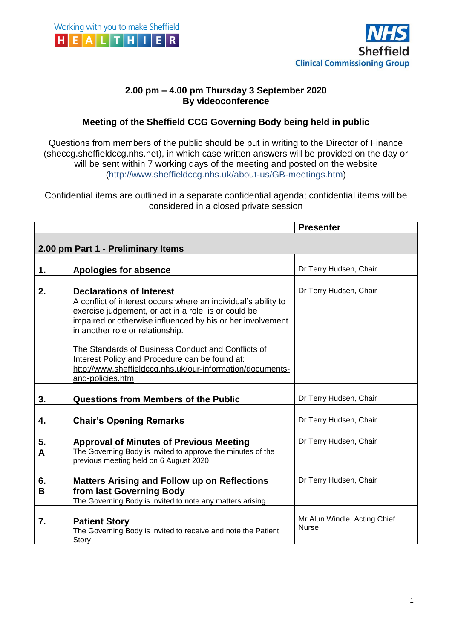



## **2.00 pm – 4.00 pm Thursday 3 September 2020 By videoconference**

## **Meeting of the Sheffield CCG Governing Body being held in public**

Questions from members of the public should be put in writing to the Director of Finance (sheccg.sheffieldccg.nhs.net), in which case written answers will be provided on the day or will be sent within 7 working days of the meeting and posted on the website (http://www.sheffieldccg.nhs.uk/about-us/GB-meetings.htm)

Confidential items are outlined in a separate confidential agenda; confidential items will be considered in a closed private session

|                                    |                                                                                                                                                                                                                                                                                                                                                                                                                                                      | <b>Presenter</b>                             |  |
|------------------------------------|------------------------------------------------------------------------------------------------------------------------------------------------------------------------------------------------------------------------------------------------------------------------------------------------------------------------------------------------------------------------------------------------------------------------------------------------------|----------------------------------------------|--|
| 2.00 pm Part 1 - Preliminary Items |                                                                                                                                                                                                                                                                                                                                                                                                                                                      |                                              |  |
|                                    |                                                                                                                                                                                                                                                                                                                                                                                                                                                      |                                              |  |
| 1.                                 | <b>Apologies for absence</b>                                                                                                                                                                                                                                                                                                                                                                                                                         | Dr Terry Hudsen, Chair                       |  |
| 2.                                 | <b>Declarations of Interest</b><br>A conflict of interest occurs where an individual's ability to<br>exercise judgement, or act in a role, is or could be<br>impaired or otherwise influenced by his or her involvement<br>in another role or relationship.<br>The Standards of Business Conduct and Conflicts of<br>Interest Policy and Procedure can be found at:<br>http://www.sheffieldccg.nhs.uk/our-information/documents-<br>and-policies.htm | Dr Terry Hudsen, Chair                       |  |
| 3.                                 | <b>Questions from Members of the Public</b>                                                                                                                                                                                                                                                                                                                                                                                                          | Dr Terry Hudsen, Chair                       |  |
| 4.                                 | <b>Chair's Opening Remarks</b>                                                                                                                                                                                                                                                                                                                                                                                                                       | Dr Terry Hudsen, Chair                       |  |
| 5.<br>A                            | <b>Approval of Minutes of Previous Meeting</b><br>The Governing Body is invited to approve the minutes of the<br>previous meeting held on 6 August 2020                                                                                                                                                                                                                                                                                              | Dr Terry Hudsen, Chair                       |  |
| 6.<br>B                            | <b>Matters Arising and Follow up on Reflections</b><br>from last Governing Body<br>The Governing Body is invited to note any matters arising                                                                                                                                                                                                                                                                                                         | Dr Terry Hudsen, Chair                       |  |
| 7.                                 | <b>Patient Story</b><br>The Governing Body is invited to receive and note the Patient<br>Story                                                                                                                                                                                                                                                                                                                                                       | Mr Alun Windle, Acting Chief<br><b>Nurse</b> |  |